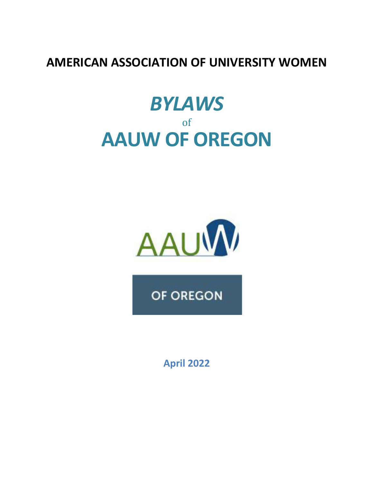## **AMERICAN ASSOCIATION OF UNIVERSITY WOMEN**

# *BYLAWS* of **AAUW OF OREGON**



OF OREGON

**April 2022**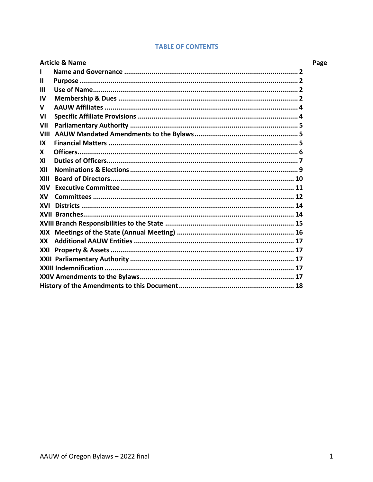| <b>Article &amp; Name</b> |                                                 | Page |
|---------------------------|-------------------------------------------------|------|
|                           |                                                 |      |
| Ш                         |                                                 |      |
| Ш                         |                                                 |      |
| <b>IV</b>                 |                                                 |      |
| $\mathbf v$               |                                                 |      |
| VI                        |                                                 |      |
| VII                       |                                                 |      |
| VIII                      |                                                 |      |
| IX                        |                                                 |      |
| X                         |                                                 |      |
| XI                        |                                                 |      |
| XII                       |                                                 |      |
| XIII                      |                                                 |      |
| XIV                       |                                                 |      |
| <b>XV</b>                 | Committees ……………………………………………………………………………………… 12 |      |
| XVI                       |                                                 |      |
|                           |                                                 |      |
|                           |                                                 |      |
|                           |                                                 |      |
| <b>XX</b>                 |                                                 |      |
| XXI                       |                                                 |      |
|                           |                                                 |      |
|                           |                                                 |      |
|                           |                                                 |      |
|                           |                                                 |      |

#### **TABLE OF CONTENTS**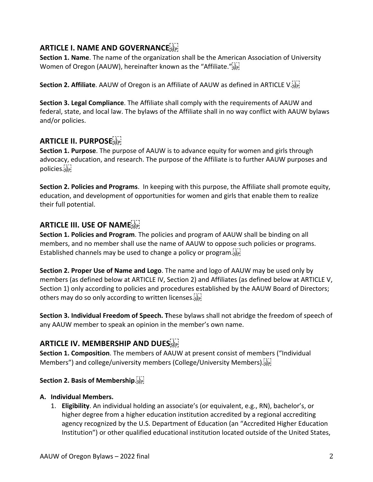## **ARTICLE I. NAME AND GOVERNANCE**

**Section 1. Name**. The name of the organization shall be the American Association of University Women of Oregon (AAUW), hereinafter known as the "Affiliate." see

**Section 2. Affiliate**. AAUW of Oregon is an Affiliate of AAUW as defined in ARTICLE V.

**Section 3. Legal Compliance**. The Affiliate shall comply with the requirements of AAUW and federal, state, and local law. The bylaws of the Affiliate shall in no way conflict with AAUW bylaws and/or policies.

## **ARTICLE II. PURPOSE**

**Section 1. Purpose**. The purpose of AAUW is to advance equity for women and girls through advocacy, education, and research. The purpose of the Affiliate is to further AAUW purposes and policies.

**Section 2. Policies and Programs**. In keeping with this purpose, the Affiliate shall promote equity, education, and development of opportunities for women and girls that enable them to realize their full potential.

## **ARTICLE III. USE OF NAME**

**Section 1. Policies and Program**. The policies and program of AAUW shall be binding on all members, and no member shall use the name of AAUW to oppose such policies or programs. Established channels may be used to change a policy or program.

**Section 2. Proper Use of Name and Logo**. The name and logo of AAUW may be used only by members (as defined below at ARTICLE IV, Section 2) and Affiliates (as defined below at ARTICLE V, Section 1) only according to policies and procedures established by the AAUW Board of Directors; others may do so only according to written licenses. SEP!

**Section 3. Individual Freedom of Speech. T**hese bylaws shall not abridge the freedom of speech of any AAUW member to speak an opinion in the member's own name.

## **ARTICLE IV. MEMBERSHIP AND DUES**

**Section 1. Composition**. The members of AAUW at present consist of members ("Individual Members") and college/university members (College/University Members).

#### **Section 2. Basis of Membership**.

#### **A. Individual Members.**

1. **Eligibility**. An individual holding an associate's (or equivalent, e.g., RN), bachelor's, or higher degree from a higher education institution accredited by a regional accrediting agency recognized by the U.S. Department of Education (an "Accredited Higher Education Institution") or other qualified educational institution located outside of the United States,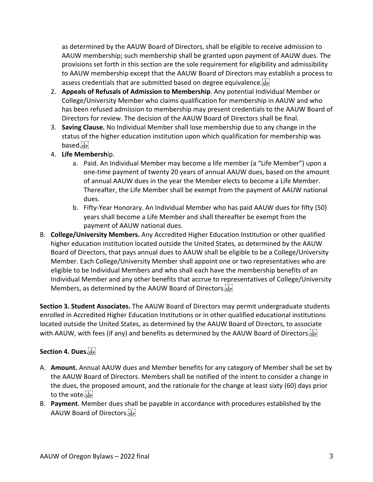as determined by the AAUW Board of Directors, shall be eligible to receive admission to AAUW membership; such membership shall be granted upon payment of AAUW dues. The provisions set forth in this section are the sole requirement for eligibility and admissibility to AAUW membership except that the AAUW Board of Directors may establish a process to assess credentials that are submitted based on degree equivalence.

- 2. **Appeals of Refusals of Admission to Membership**. Any potential Individual Member or College/University Member who claims qualification for membership in AAUW and who has been refused admission to membership may present credentials to the AAUW Board of Directors for review. The decision of the AAUW Board of Directors shall be final.
- 3. **Saving Clause.** No Individual Member shall lose membership due to any change in the status of the higher education institution upon which qualification for membership was based.
- 4. **Life Membersh**ip.
	- a. Paid. An Individual Member may become a life member (a "Life Member") upon a one-time payment of twenty 20 years of annual AAUW dues, based on the amount of annual AAUW dues in the year the Member elects to become a Life Member. Thereafter, the Life Member shall be exempt from the payment of AAUW national dues.
	- b. Fifty-Year Honorary. An Individual Member who has paid AAUW dues for fifty (50) years shall become a Life Member and shall thereafter be exempt from the payment of AAUW national dues.
- B. **College/University Members.** Any Accredited Higher Education Institution or other qualified higher education institution located outside the United States, as determined by the AAUW Board of Directors, that pays annual dues to AAUW shall be eligible to be a College/University Member. Each College/University Member shall appoint one or two representatives who are eligible to be Individual Members and who shall each have the membership benefits of an Individual Member and any other benefits that accrue to representatives of College/University Members, as determined by the AAUW Board of Directors.

**Section 3. Student Associates.** The AAUW Board of Directors may permit undergraduate students enrolled in Accredited Higher Education Institutions or in other qualified educational institutions located outside the United States, as determined by the AAUW Board of Directors, to associate with AAUW, with fees (if any) and benefits as determined by the AAUW Board of Directors.

#### **Section 4. Dues.**

- A. **Amount.** Annual AAUW dues and Member benefits for any category of Member shall be set by the AAUW Board of Directors. Members shall be notified of the intent to consider a change in the dues, the proposed amount, and the rationale for the change at least sixty (60) days prior to the vote.
- B. **Payment**. Member dues shall be payable in accordance with procedures established by the AAUW Board of Directors.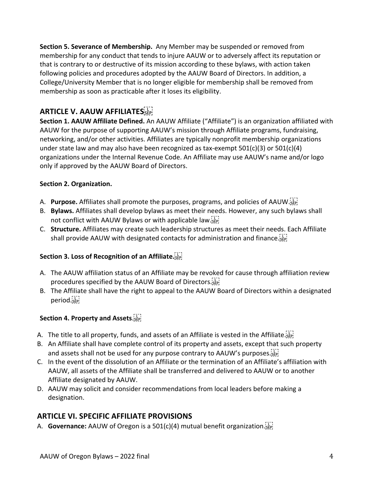**Section 5. Severance of Membership.** Any Member may be suspended or removed from membership for any conduct that tends to injure AAUW or to adversely affect its reputation or that is contrary to or destructive of its mission according to these bylaws, with action taken following policies and procedures adopted by the AAUW Board of Directors. In addition, a College/University Member that is no longer eligible for membership shall be removed from membership as soon as practicable after it loses its eligibility.

## **ARTICLE V. AAUW AFFILIATES**

**Section 1. AAUW Affiliate Defined.** An AAUW Affiliate ("Affiliate") is an organization affiliated with AAUW for the purpose of supporting AAUW's mission through Affiliate programs, fundraising, networking, and/or other activities. Affiliates are typically nonprofit membership organizations under state law and may also have been recognized as tax-exempt  $501(c)(3)$  or  $501(c)(4)$ organizations under the Internal Revenue Code. An Affiliate may use AAUW's name and/or logo only if approved by the AAUW Board of Directors.

#### **Section 2. Organization.**

- A. **Purpose.** Affiliates shall promote the purposes, programs, and policies of AAUW.
- B. **Bylaws.** Affiliates shall develop bylaws as meet their needs. However, any such bylaws shall not conflict with AAUW Bylaws or with applicable law.
- C. **Structure.** Affiliates may create such leadership structures as meet their needs. Each Affiliate shall provide AAUW with designated contacts for administration and finance.

#### **Section 3. Loss of Recognition of an Affiliate.**

- A. The AAUW affiliation status of an Affiliate may be revoked for cause through affiliation review procedures specified by the AAUW Board of Directors.
- B. The Affiliate shall have the right to appeal to the AAUW Board of Directors within a designated period.<sub>SEP</sub>

#### **Section 4. Property and Assets**.

- A. The title to all property, funds, and assets of an Affiliate is vested in the Affiliate.
- B. An Affiliate shall have complete control of its property and assets, except that such property and assets shall not be used for any purpose contrary to AAUW's purposes.  $\overline{S}$
- C. In the event of the dissolution of an Affiliate or the termination of an Affiliate's affiliation with AAUW, all assets of the Affiliate shall be transferred and delivered to AAUW or to another Affiliate designated by AAUW.
- D. AAUW may solicit and consider recommendations from local leaders before making a designation.

#### **ARTICLE VI. SPECIFIC AFFILIATE PROVISIONS**

A. **Governance:** AAUW of Oregon is a 501(c)(4) mutual benefit organization.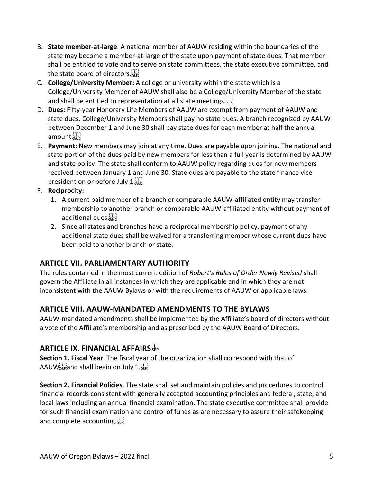- B. **State member-at-large**: A national member of AAUW residing within the boundaries of the state may become a member-at-large of the state upon payment of state dues. That member shall be entitled to vote and to serve on state committees, the state executive committee, and the state board of directors.
- C. **College/University Member:** A college or university within the state which is a College/University Member of AAUW shall also be a College/University Member of the state and shall be entitled to representation at all state meetings.
- D. **Dues:** Fifty-year Honorary Life Members of AAUW are exempt from payment of AAUW and state dues. College/University Members shall pay no state dues. A branch recognized by AAUW between December 1 and June 30 shall pay state dues for each member at half the annual amount.sEP
- E. **Payment:** New members may join at any time. Dues are payable upon joining. The national and state portion of the dues paid by new members for less than a full year is determined by AAUW and state policy. The state shall conform to AAUW policy regarding dues for new members received between January 1 and June 30. State dues are payable to the state finance vice president on or before July 1.5EP!

#### F. **Reciprocity:**

- 1. A current paid member of a branch or comparable AAUW-affiliated entity may transfer membership to another branch or comparable AAUW-affiliated entity without payment of additional dues.
- 2. Since all states and branches have a reciprocal membership policy, payment of any additional state dues shall be waived for a transferring member whose current dues have been paid to another branch or state.

## **ARTICLE VII. PARLIAMENTARY AUTHORITY**

The rules contained in the most current edition of *Robert's Rules of Order Newly Revised* shall govern the Affiliate in all instances in which they are applicable and in which they are not inconsistent with the AAUW Bylaws or with the requirements of AAUW or applicable laws.

#### **ARTICLE VIII. AAUW-MANDATED AMENDMENTS TO THE BYLAWS**

AAUW-mandated amendments shall be implemented by the Affiliate's board of directors without a vote of the Affiliate's membership and as prescribed by the AAUW Board of Directors.

## **ARTICLE IX. FINANCIAL AFFAIRS**

**Section 1. Fiscal Year**. The fiscal year of the organization shall correspond with that of AAUW $_{\rm s\bar{e}p}$  and shall begin on July 1. $_{\rm s\bar{e}p}$ 

**Section 2. Financial Policies**. The state shall set and maintain policies and procedures to control financial records consistent with generally accepted accounting principles and federal, state, and local laws including an annual financial examination. The state executive committee shall provide for such financial examination and control of funds as are necessary to assure their safekeeping and complete accounting.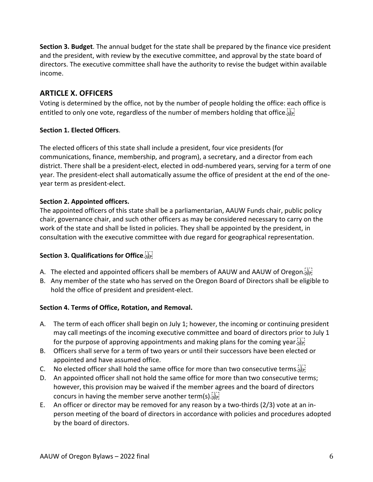**Section 3. Budget**. The annual budget for the state shall be prepared by the finance vice president and the president, with review by the executive committee, and approval by the state board of directors. The executive committee shall have the authority to revise the budget within available income.

#### **ARTICLE X. OFFICERS**

Voting is determined by the office, not by the number of people holding the office: each office is entitled to only one vote, regardless of the number of members holding that office.

#### **Section 1. Elected Officers**.

The elected officers of this state shall include a president, four vice presidents (for communications, finance, membership, and program), a secretary, and a director from each district. There shall be a president-elect, elected in odd-numbered years, serving for a term of one year. The president-elect shall automatically assume the office of president at the end of the oneyear term as president-elect.

#### **Section 2. Appointed officers.**

The appointed officers of this state shall be a parliamentarian, AAUW Funds chair, public policy chair, governance chair, and such other officers as may be considered necessary to carry on the work of the state and shall be listed in policies. They shall be appointed by the president, in consultation with the executive committee with due regard for geographical representation.

#### **Section 3. Qualifications for Office**.

- A. The elected and appointed officers shall be members of AAUW and AAUW of Oregon.
- B. Any member of the state who has served on the Oregon Board of Directors shall be eligible to hold the office of president and president-elect.

#### **Section 4. Terms of Office, Rotation, and Removal.**

- A. The term of each officer shall begin on July 1; however, the incoming or continuing president may call meetings of the incoming executive committee and board of directors prior to July 1 for the purpose of approving appointments and making plans for the coming year.
- B. Officers shall serve for a term of two years or until their successors have been elected or appointed and have assumed office.
- C. No elected officer shall hold the same office for more than two consecutive terms.
- D. An appointed officer shall not hold the same office for more than two consecutive terms; however, this provision may be waived if the member agrees and the board of directors concurs in having the member serve another term(s).
- E. An officer or director may be removed for any reason by a two-thirds (2/3) vote at an inperson meeting of the board of directors in accordance with policies and procedures adopted by the board of directors.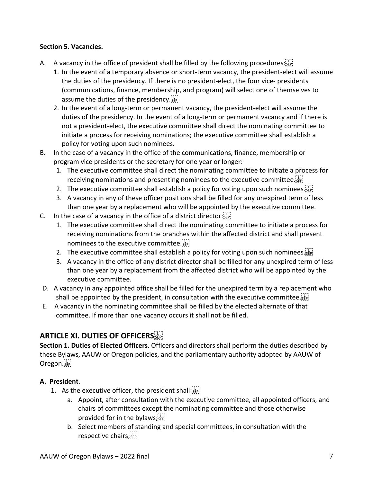#### **Section 5. Vacancies.**

- A. A vacancy in the office of president shall be filled by the following procedures:  $\sum_{i=1}^{[1]}$ 
	- 1. In the event of a temporary absence or short-term vacancy, the president-elect will assume the duties of the presidency. If there is no president-elect, the four vice- presidents (communications, finance, membership, and program) will select one of themselves to assume the duties of the presidency.
	- 2. In the event of a long-term or permanent vacancy, the president-elect will assume the duties of the presidency. In the event of a long-term or permanent vacancy and if there is not a president-elect, the executive committee shall direct the nominating committee to initiate a process for receiving nominations; the executive committee shall establish a policy for voting upon such nominees.
- B. In the case of a vacancy in the office of the communications, finance, membership or program vice presidents or the secretary for one year or longer:
	- 1. The executive committee shall direct the nominating committee to initiate a process for receiving nominations and presenting nominees to the executive committee.
	- 2. The executive committee shall establish a policy for voting upon such nominees.
	- 3. A vacancy in any of these officer positions shall be filled for any unexpired term of less than one year by a replacement who will be appointed by the executive committee.
- C. In the case of a vacancy in the office of a district director: $\frac{1}{2}$ 
	- 1. The executive committee shall direct the nominating committee to initiate a process for receiving nominations from the branches within the affected district and shall present nominees to the executive committee.
	- 2. The executive committee shall establish a policy for voting upon such nominees.
	- 3. A vacancy in the office of any district director shall be filled for any unexpired term of less than one year by a replacement from the affected district who will be appointed by the executive committee.
- D. A vacancy in any appointed office shall be filled for the unexpired term by a replacement who shall be appointed by the president, in consultation with the executive committee.
- E. A vacancy in the nominating committee shall be filled by the elected alternate of that committee. If more than one vacancy occurs it shall not be filled.

## **ARTICLE XI. DUTIES OF OFFICERS**

**Section 1. Duties of Elected Officers**. Officers and directors shall perform the duties described by these Bylaws, AAUW or Oregon policies, and the parliamentary authority adopted by AAUW of Oregon.sep

#### **A. President**.

- 1. As the executive officer, the president shall:  $\sum_{i=1}^{n}$ 
	- a. Appoint, after consultation with the executive committee, all appointed officers, and chairs of committees except the nominating committee and those otherwise provided for in the bylaws;
	- b. Select members of standing and special committees, in consultation with the respective chairs;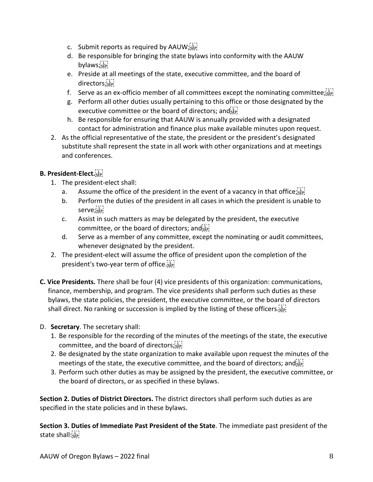- c. Submit reports as required by AAUW;  $\sum_{i=1}^{n}$
- d. Be responsible for bringing the state bylaws into conformity with the AAUW bylaws;
- e. Preside at all meetings of the state, executive committee, and the board of directors;
- f. Serve as an ex-officio member of all committees except the nominating committee;  $\sum_{i=1}^{n}$
- g. Perform all other duties usually pertaining to this office or those designated by the executive committee or the board of directors; and sep-
- h. Be responsible for ensuring that AAUW is annually provided with a designated contact for administration and finance plus make available minutes upon request.
- 2. As the official representative of the state, the president or the president's designated substitute shall represent the state in all work with other organizations and at meetings and conferences.

#### **B. President-Elect.**

- 1. The president-elect shall:
	- a. Assume the office of the president in the event of a vacancy in that office;  $\sum_{i=1}^{n}$
	- b. Perform the duties of the president in all cases in which the president is unable to serve;
	- c. Assist in such matters as may be delegated by the president, the executive committee, or the board of directors; and  $\overline{sl}_{\text{SEP}}$
	- d. Serve as a member of any committee, except the nominating or audit committees, whenever designated by the president.
- 2. The president-elect will assume the office of president upon the completion of the president's two-year term of office.
- **C. Vice Presidents.** There shall be four (4) vice presidents of this organization: communications, finance, membership, and program. The vice presidents shall perform such duties as these bylaws, the state policies, the president, the executive committee, or the board of directors shall direct. No ranking or succession is implied by the listing of these officers.
- D. **Secretary**. The secretary shall:
	- 1. Be responsible for the recording of the minutes of the meetings of the state, the executive committee, and the board of directors;see
	- 2. Be designated by the state organization to make available upon request the minutes of the meetings of the state, the executive committee, and the board of directors; and  $\overline{S_{\text{EP}}^{[1]}},$
	- 3. Perform such other duties as may be assigned by the president, the executive committee, or the board of directors, or as specified in these bylaws.

**Section 2. Duties of District Directors.** The district directors shall perform such duties as are specified in the state policies and in these bylaws.

**Section 3. Duties of Immediate Past President of the State**. The immediate past president of the state shall:<sub>SEP</sub>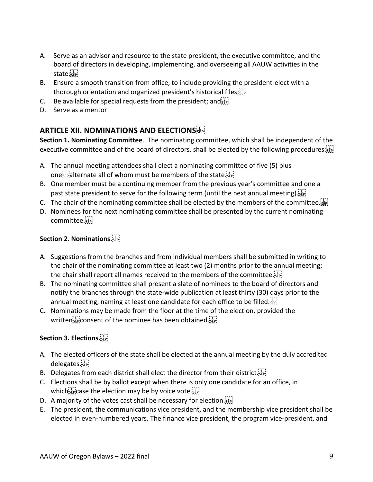- A. Serve as an advisor and resource to the state president, the executive committee, and the board of directors in developing, implementing, and overseeing all AAUW activities in the state; EP
- B. Ensure a smooth transition from office, to include providing the president-elect with a thorough orientation and organized president's historical files;  $\overline{s}$
- C. Be available for special requests from the president; and  $\overline{S_{\text{EP}}^{[1]}},$
- D. Serve as a mentor

## **ARTICLE XII. NOMINATIONS AND ELECTIONS**

**Section 1. Nominating Committee**. The nominating committee, which shall be independent of the executive committee and of the board of directors, shall be elected by the following procedures:

- A. The annual meeting attendees shall elect a nominating committee of five (5) plus ones alternate all of whom must be members of the state.
- B. One member must be a continuing member from the previous year's committee and one a past state president to serve for the following term (until the next annual meeting).  $\overline{S_{\text{EP}}^{\text{ref}}}$
- C. The chair of the nominating committee shall be elected by the members of the committee.
- D. Nominees for the next nominating committee shall be presented by the current nominating committee.

#### **Section 2. Nominations.**

- A. Suggestions from the branches and from individual members shall be submitted in writing to the chair of the nominating committee at least two (2) months prior to the annual meeting; the chair shall report all names received to the members of the committee.
- B. The nominating committee shall present a slate of nominees to the board of directors and notify the branches through the state-wide publication at least thirty (30) days prior to the annual meeting, naming at least one candidate for each office to be filled.  $55$
- C. Nominations may be made from the floor at the time of the election, provided the written $\overline{\text{SSE}}$  consent of the nominee has been obtained.

#### **Section 3. Elections.**

- A. The elected officers of the state shall be elected at the annual meeting by the duly accredited delegates.
- B. Delegates from each district shall elect the director from their district.  $\overline{S_{EP}}$
- C. Elections shall be by ballot except when there is only one candidate for an office, in which  $\sum_{s \in P}^{[1]}$  case the election may be by voice vote.
- D. A majority of the votes cast shall be necessary for election.
- E. The president, the communications vice president, and the membership vice president shall be elected in even-numbered years. The finance vice president, the program vice-president, and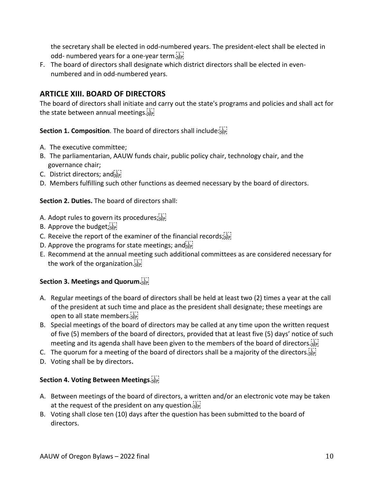the secretary shall be elected in odd-numbered years. The president-elect shall be elected in odd- numbered years for a one-year term.

F. The board of directors shall designate which district directors shall be elected in evennumbered and in odd-numbered years.

### **ARTICLE XIII. BOARD OF DIRECTORS**

The board of directors shall initiate and carry out the state's programs and policies and shall act for the state between annual meetings.

**Section 1. Composition**. The board of directors shall include: see

- A. The executive committee;
- B. The parliamentarian, AAUW funds chair, public policy chair, technology chair, and the governance chair;
- C. District directors; and
- D. Members fulfilling such other functions as deemed necessary by the board of directors.

**Section 2. Duties.** The board of directors shall:

- A. Adopt rules to govern its procedures; see
- B. Approve the budget;
- C. Receive the report of the examiner of the financial records; see
- D. Approve the programs for state meetings; and sep!
- E. Recommend at the annual meeting such additional committees as are considered necessary for the work of the organization.

#### **Section 3. Meetings and Quorum.**

- A. Regular meetings of the board of directors shall be held at least two (2) times a year at the call of the president at such time and place as the president shall designate; these meetings are open to all state members.
- B. Special meetings of the board of directors may be called at any time upon the written request of five (5) members of the board of directors, provided that at least five (5) days' notice of such meeting and its agenda shall have been given to the members of the board of directors.
- C. The quorum for a meeting of the board of directors shall be a majority of the directors.
- D. Voting shall be by directors.

#### **Section 4. Voting Between Meetings**.

- A. Between meetings of the board of directors, a written and/or an electronic vote may be taken at the request of the president on any question.
- B. Voting shall close ten (10) days after the question has been submitted to the board of directors.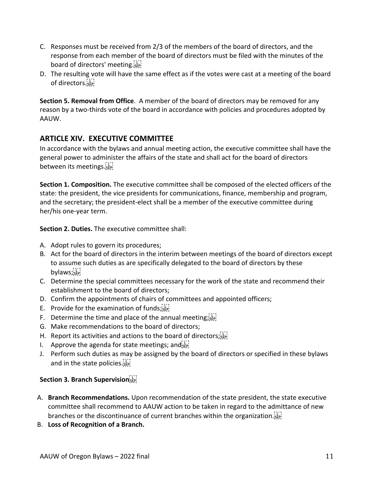- C. Responses must be received from 2/3 of the members of the board of directors, and the response from each member of the board of directors must be filed with the minutes of the board of directors' meeting.
- D. The resulting vote will have the same effect as if the votes were cast at a meeting of the board of directors.

**Section 5. Removal from Office**. A member of the board of directors may be removed for any reason by a two-thirds vote of the board in accordance with policies and procedures adopted by AAUW.

#### **ARTICLE XIV. EXECUTIVE COMMITTEE**

In accordance with the bylaws and annual meeting action, the executive committee shall have the general power to administer the affairs of the state and shall act for the board of directors between its meetings.

**Section 1. Composition.** The executive committee shall be composed of the elected officers of the state: the president, the vice presidents for communications, finance, membership and program, and the secretary; the president-elect shall be a member of the executive committee during her/his one-year term.

**Section 2. Duties.** The executive committee shall:

- A. Adopt rules to govern its procedures;
- B. Act for the board of directors in the interim between meetings of the board of directors except to assume such duties as are specifically delegated to the board of directors by these bylaws;
- C. Determine the special committees necessary for the work of the state and recommend their establishment to the board of directors;
- D. Confirm the appointments of chairs of committees and appointed officers;
- E. Provide for the examination of funds; $\frac{1}{12}$
- F. Determine the time and place of the annual meeting; $\frac{1}{2}$
- G. Make recommendations to the board of directors;
- H. Report its activities and actions to the board of directors; $s_{\text{left}}$
- I. Approve the agenda for state meetings; and  $\frac{1}{2}$
- J. Perform such duties as may be assigned by the board of directors or specified in these bylaws and in the state policies.

#### **Section 3. Branch Supervision**

- A. **Branch Recommendations.** Upon recommendation of the state president, the state executive committee shall recommend to AAUW action to be taken in regard to the admittance of new branches or the discontinuance of current branches within the organization.
- B. **Loss of Recognition of a Branch.**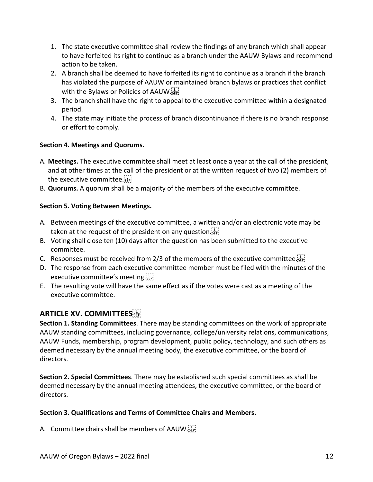- 1. The state executive committee shall review the findings of any branch which shall appear to have forfeited its right to continue as a branch under the AAUW Bylaws and recommend action to be taken.
- 2. A branch shall be deemed to have forfeited its right to continue as a branch if the branch has violated the purpose of AAUW or maintained branch bylaws or practices that conflict with the Bylaws or Policies of AAUW.
- 3. The branch shall have the right to appeal to the executive committee within a designated period.
- 4. The state may initiate the process of branch discontinuance if there is no branch response or effort to comply.

#### **Section 4. Meetings and Quorums.**

- A. **Meetings.** The executive committee shall meet at least once a year at the call of the president, and at other times at the call of the president or at the written request of two (2) members of the executive committee.
- B. **Quorums.** A quorum shall be a majority of the members of the executive committee.

#### **Section 5. Voting Between Meetings.**

- A. Between meetings of the executive committee, a written and/or an electronic vote may be taken at the request of the president on any question. see
- B. Voting shall close ten (10) days after the question has been submitted to the executive committee.
- C. Responses must be received from 2/3 of the members of the executive committee.
- D. The response from each executive committee member must be filed with the minutes of the executive committee's meeting.
- E. The resulting vote will have the same effect as if the votes were cast as a meeting of the executive committee.

## **ARTICLE XV. COMMITTEES**

**Section 1. Standing Committees**. There may be standing committees on the work of appropriate AAUW standing committees, including governance, college/university relations, communications, AAUW Funds, membership, program development, public policy, technology, and such others as deemed necessary by the annual meeting body, the executive committee, or the board of directors.

**Section 2. Special Committees**. There may be established such special committees as shall be deemed necessary by the annual meeting attendees, the executive committee, or the board of directors.

#### **Section 3. Qualifications and Terms of Committee Chairs and Members.**

A. Committee chairs shall be members of AAUW.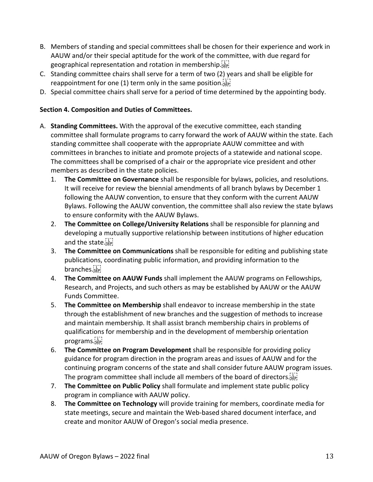- B. Members of standing and special committees shall be chosen for their experience and work in AAUW and/or their special aptitude for the work of the committee, with due regard for geographical representation and rotation in membership.
- C. Standing committee chairs shall serve for a term of two (2) years and shall be eligible for reappointment for one (1) term only in the same position.
- D. Special committee chairs shall serve for a period of time determined by the appointing body.

#### **Section 4. Composition and Duties of Committees.**

- A. **Standing Committees.** With the approval of the executive committee, each standing committee shall formulate programs to carry forward the work of AAUW within the state. Each standing committee shall cooperate with the appropriate AAUW committee and with committees in branches to initiate and promote projects of a statewide and national scope. The committees shall be comprised of a chair or the appropriate vice president and other members as described in the state policies.
	- 1. **The Committee on Governance** shall be responsible for bylaws, policies, and resolutions. It will receive for review the biennial amendments of all branch bylaws by December 1 following the AAUW convention, to ensure that they conform with the current AAUW Bylaws. Following the AAUW convention, the committee shall also review the state bylaws to ensure conformity with the AAUW Bylaws.
	- 2. **The Committee on College/University Relations** shall be responsible for planning and developing a mutually supportive relationship between institutions of higher education and the state.
	- 3. **The Committee on Communications** shall be responsible for editing and publishing state publications, coordinating public information, and providing information to the branches.
	- 4. **The Committee on AAUW Funds** shall implement the AAUW programs on Fellowships, Research, and Projects, and such others as may be established by AAUW or the AAUW Funds Committee.
	- 5. **The Committee on Membership** shall endeavor to increase membership in the state through the establishment of new branches and the suggestion of methods to increase and maintain membership. It shall assist branch membership chairs in problems of qualifications for membership and in the development of membership orientation programs.
	- 6. **The Committee on Program Development** shall be responsible for providing policy guidance for program direction in the program areas and issues of AAUW and for the continuing program concerns of the state and shall consider future AAUW program issues. The program committee shall include all members of the board of directors.
	- 7. **The Committee on Public Policy** shall formulate and implement state public policy program in compliance with AAUW policy.
	- 8. **The Committee on Technology** will provide training for members, coordinate media for state meetings, secure and maintain the Web-based shared document interface, and create and monitor AAUW of Oregon's social media presence.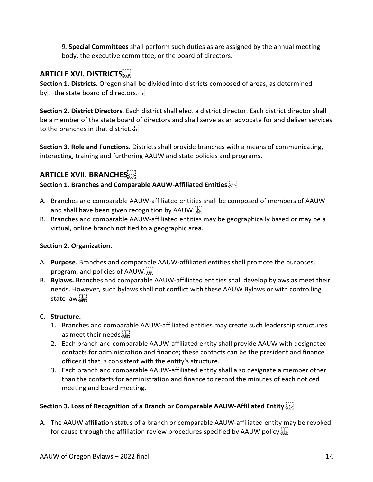9*.* **Special Committees** shall perform such duties as are assigned by the annual meeting body, the executive committee, or the board of directors.

## **ARTICLE XVI. DISTRICTS**

**Section 1. Districts**. Oregon shall be divided into districts composed of areas, as determined by<sup>[1]</sup><sub>SEP</sub> the state board of directors.

**Section 2. District Directors**. Each district shall elect a district director. Each district director shall be a member of the state board of directors and shall serve as an advocate for and deliver services to the branches in that district.

**Section 3. Role and Functions**. Districts shall provide branches with a means of communicating, interacting, training and furthering AAUW and state policies and programs.

## **ARTICLE XVII. BRANCHES**

#### **Section 1. Branches and Comparable AAUW-Affiliated Entities**.

- A. Branches and comparable AAUW-affiliated entities shall be composed of members of AAUW and shall have been given recognition by AAUW.
- B. Branches and comparable AAUW-affiliated entities may be geographically based or may be a virtual, online branch not tied to a geographic area.

#### **Section 2. Organization.**

- A. **Purpose**. Branches and comparable AAUW-affiliated entities shall promote the purposes, program, and policies of AAUW.
- B. **Bylaws.** Branches and comparable AAUW-affiliated entities shall develop bylaws as meet their needs. However, such bylaws shall not conflict with these AAUW Bylaws or with controlling state law.

#### C. **Structure.**

- 1. Branches and comparable AAUW-affiliated entities may create such leadership structures as meet their needs. sep-
- 2. Each branch and comparable AAUW-affiliated entity shall provide AAUW with designated contacts for administration and finance; these contacts can be the president and finance officer if that is consistent with the entity's structure.
- 3. Each branch and comparable AAUW-affiliated entity shall also designate a member other than the contacts for administration and finance to record the minutes of each noticed meeting and board meeting.

#### **Section 3. Loss of Recognition of a Branch or Comparable AAUW-Affiliated Entity**.

A. The AAUW affiliation status of a branch or comparable AAUW-affiliated entity may be revoked for cause through the affiliation review procedures specified by AAUW policy.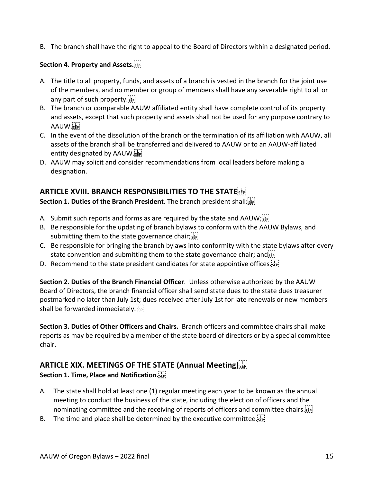B. The branch shall have the right to appeal to the Board of Directors within a designated period.

#### **Section 4. Property and Assets.**

- A. The title to all property, funds, and assets of a branch is vested in the branch for the joint use of the members, and no member or group of members shall have any severable right to all or any part of such property.
- B. The branch or comparable AAUW affiliated entity shall have complete control of its property and assets, except that such property and assets shall not be used for any purpose contrary to AAUW.<sub>SEP</sub>
- C. In the event of the dissolution of the branch or the termination of its affiliation with AAUW, all assets of the branch shall be transferred and delivered to AAUW or to an AAUW-affiliated entity designated by AAUW.
- D. AAUW may solicit and consider recommendations from local leaders before making a designation.

## **ARTICLE XVIII. BRANCH RESPONSIBILITIES TO THE STATE**

**Section 1. Duties of the Branch President**. The branch president shall:

- A. Submit such reports and forms as are required by the state and AAUW;  $\frac{177}{155}$
- B. Be responsible for the updating of branch bylaws to conform with the AAUW Bylaws, and submitting them to the state governance chair; $\frac{1}{15}$
- C. Be responsible for bringing the branch bylaws into conformity with the state bylaws after every state convention and submitting them to the state governance chair; and  $\sin$
- D. Recommend to the state president candidates for state appointive offices.

**Section 2. Duties of the Branch Financial Officer**. Unless otherwise authorized by the AAUW Board of Directors, the branch financial officer shall send state dues to the state dues treasurer postmarked no later than July 1st; dues received after July 1st for late renewals or new members shall be forwarded immediately.

**Section 3. Duties of Other Officers and Chairs.** Branch officers and committee chairs shall make reports as may be required by a member of the state board of directors or by a special committee chair.

#### **ARTICLE XIX. MEETINGS OF THE STATE (Annual Meeting)**

**Section 1. Time, Place and Notification.** 

- A. The state shall hold at least one (1) regular meeting each year to be known as the annual meeting to conduct the business of the state, including the election of officers and the nominating committee and the receiving of reports of officers and committee chairs.
- B. The time and place shall be determined by the executive committee.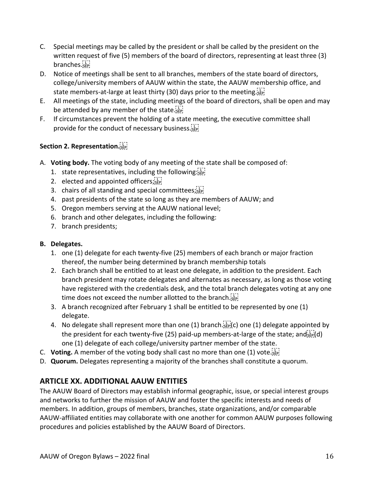- C. Special meetings may be called by the president or shall be called by the president on the written request of five (5) members of the board of directors, representing at least three (3) branches.
- D. Notice of meetings shall be sent to all branches, members of the state board of directors, college/university members of AAUW within the state, the AAUW membership office, and state members-at-large at least thirty (30) days prior to the meeting.
- E. All meetings of the state, including meetings of the board of directors, shall be open and may be attended by any member of the state.
- F. If circumstances prevent the holding of a state meeting, the executive committee shall provide for the conduct of necessary business.

#### **Section 2. Representation.**

- A. **Voting body.** The voting body of any meeting of the state shall be composed of:
	- 1. state representatives, including the following: $\frac{1}{15}$
	- 2. elected and appointed officers; $s_{\text{step}}$
	- 3. chairs of all standing and special committees; see!
	- 4. past presidents of the state so long as they are members of AAUW; and
	- 5. Oregon members serving at the AAUW national level;
	- 6. branch and other delegates, including the following:
	- 7. branch presidents;

#### **B. Delegates.**

- 1. one (1) delegate for each twenty-five (25) members of each branch or major fraction thereof, the number being determined by branch membership totals
- 2. Each branch shall be entitled to at least one delegate, in addition to the president. Each branch president may rotate delegates and alternates as necessary, as long as those voting have registered with the credentials desk, and the total branch delegates voting at any one time does not exceed the number allotted to the branch.
- 3. A branch recognized after February 1 shall be entitled to be represented by one (1) delegate.
- 4. No delegate shall represent more than one (1) branch.  $\sum_{s \in \mathbb{N}}$  (c) one (1) delegate appointed by the president for each twenty-five (25) paid-up members-at-large of the state; and  $\frac{1}{2}$  $d$ ) one (1) delegate of each college/university partner member of the state.
- C. **Voting.** A member of the voting body shall cast no more than one (1) vote.
- D. **Quorum.** Delegates representing a majority of the branches shall constitute a quorum.

## **ARTICLE XX. ADDITIONAL AAUW ENTITIES**

The AAUW Board of Directors may establish informal geographic, issue, or special interest groups and networks to further the mission of AAUW and foster the specific interests and needs of members. In addition, groups of members, branches, state organizations, and/or comparable AAUW-affiliated entities may collaborate with one another for common AAUW purposes following procedures and policies established by the AAUW Board of Directors.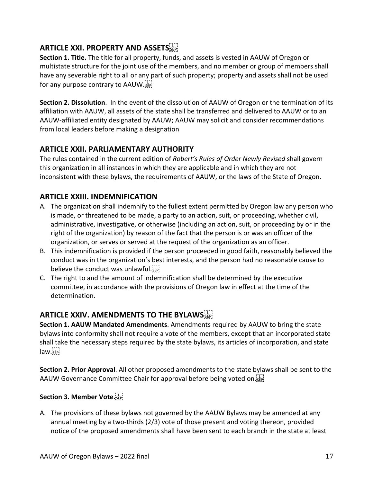## **ARTICLE XXI. PROPERTY AND ASSETS**

**Section 1. Title.** The title for all property, funds, and assets is vested in AAUW of Oregon or multistate structure for the joint use of the members, and no member or group of members shall have any severable right to all or any part of such property; property and assets shall not be used for any purpose contrary to AAUW.

**Section 2. Dissolution**. In the event of the dissolution of AAUW of Oregon or the termination of its affiliation with AAUW, all assets of the state shall be transferred and delivered to AAUW or to an AAUW-affiliated entity designated by AAUW; AAUW may solicit and consider recommendations from local leaders before making a designation

## **ARTICLE XXII. PARLIAMENTARY AUTHORITY**

The rules contained in the current edition of *Robert's Rules of Order Newly Revised* shall govern this organization in all instances in which they are applicable and in which they are not inconsistent with these bylaws, the requirements of AAUW, or the laws of the State of Oregon.

## **ARTICLE XXIII. INDEMNIFICATION**

- A. The organization shall indemnify to the fullest extent permitted by Oregon law any person who is made, or threatened to be made, a party to an action, suit, or proceeding, whether civil, administrative, investigative, or otherwise (including an action, suit, or proceeding by or in the right of the organization) by reason of the fact that the person is or was an officer of the organization, or serves or served at the request of the organization as an officer.
- B. This indemnification is provided if the person proceeded in good faith, reasonably believed the conduct was in the organization's best interests, and the person had no reasonable cause to believe the conduct was unlawful.
- C. The right to and the amount of indemnification shall be determined by the executive committee, in accordance with the provisions of Oregon law in effect at the time of the determination.

## **ARTICLE XXIV. AMENDMENTS TO THE BYLAWS**

**Section 1. AAUW Mandated Amendments**. Amendments required by AAUW to bring the state bylaws into conformity shall not require a vote of the members, except that an incorporated state shall take the necessary steps required by the state bylaws, its articles of incorporation, and state  $law: \mathbb{F}$ 

**Section 2. Prior Approval**. All other proposed amendments to the state bylaws shall be sent to the AAUW Governance Committee Chair for approval before being voted on.

#### **Section 3. Member Vote.**

A. The provisions of these bylaws not governed by the AAUW Bylaws may be amended at any annual meeting by a two-thirds (2/3) vote of those present and voting thereon, provided notice of the proposed amendments shall have been sent to each branch in the state at least